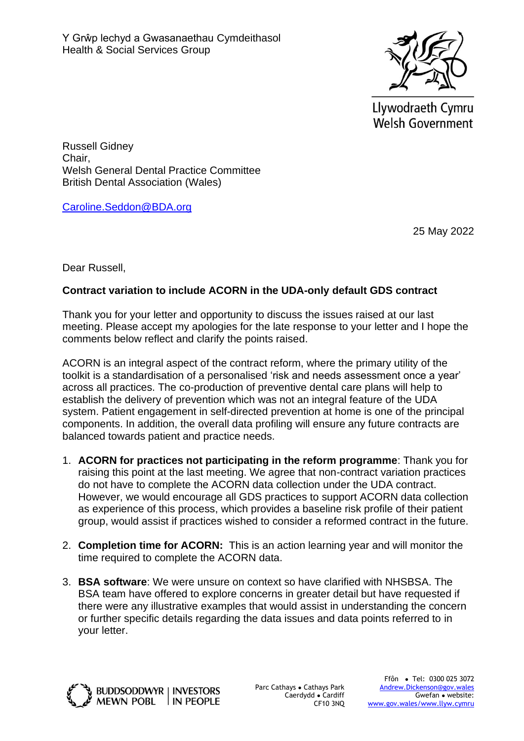

Llywodraeth Cymru **Welsh Government** 

Russell Gidney Chair, Welsh General Dental Practice Committee British Dental Association (Wales)

[Caroline.Seddon@BDA.org](mailto:Caroline.Seddon@BDA.org)

25 May 2022

Dear Russell,

## **Contract variation to include ACORN in the UDA-only default GDS contract**

Thank you for your letter and opportunity to discuss the issues raised at our last meeting. Please accept my apologies for the late response to your letter and I hope the comments below reflect and clarify the points raised.

ACORN is an integral aspect of the contract reform, where the primary utility of the toolkit is a standardisation of a personalised 'risk and needs assessment once a year' across all practices. The co-production of preventive dental care plans will help to establish the delivery of prevention which was not an integral feature of the UDA system. Patient engagement in self-directed prevention at home is one of the principal components. In addition, the overall data profiling will ensure any future contracts are balanced towards patient and practice needs.

- 1. **ACORN for practices not participating in the reform programme**: Thank you for raising this point at the last meeting. We agree that non-contract variation practices do not have to complete the ACORN data collection under the UDA contract. However, we would encourage all GDS practices to support ACORN data collection as experience of this process, which provides a baseline risk profile of their patient group, would assist if practices wished to consider a reformed contract in the future.
- 2. **Completion time for ACORN:** This is an action learning year and will monitor the time required to complete the ACORN data.
- 3. **BSA software**: We were unsure on context so have clarified with NHSBSA. The BSA team have offered to explore concerns in greater detail but have requested if there were any illustrative examples that would assist in understanding the concern or further specific details regarding the data issues and data points referred to in your letter.



Parc Cathays ● Cathays Park Caerdydd ● Cardiff CF10 3NQ